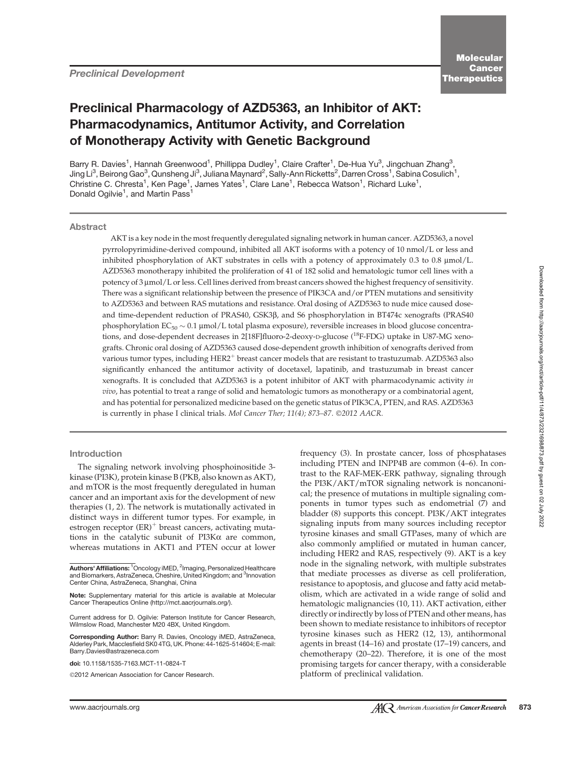# Preclinical Pharmacology of AZD5363, an Inhibitor of AKT: Pharmacodynamics, Antitumor Activity, and Correlation of Monotherapy Activity with Genetic Background

Barry R. Davies<sup>1</sup>, Hannah Greenwood<sup>1</sup>, Phillippa Dudley<sup>1</sup>, Claire Crafter<sup>1</sup>, De-Hua Yu<sup>3</sup>, Jingchuan Zhang<sup>3</sup> , Jing Li $^3$ , Beirong Gao $^3$ , Qunsheng Ji $^3$ , Juliana Maynard $^2$ , Sally-Ann Ricketts $^2$ , Darren Cross $^1$ , Sabina Cosulich $^1$ , Christine C. Chresta<sup>1</sup>, Ken Page<sup>1</sup>, James Yates<sup>1</sup>, Clare Lane<sup>1</sup>, Rebecca Watson<sup>1</sup>, Richard Luke<sup>1</sup>, Donald Ogilvie<sup>1</sup>, and Martin Pass<sup>1</sup>

#### **Abstract**

AKT is a key node in the most frequently deregulated signaling network in human cancer. AZD5363, a novel pyrrolopyrimidine-derived compound, inhibited all AKT isoforms with a potency of 10 nmol/L or less and inhibited phosphorylation of AKT substrates in cells with a potency of approximately 0.3 to 0.8 mmol/L. AZD5363 monotherapy inhibited the proliferation of 41 of 182 solid and hematologic tumor cell lines with a potency of 3 mmol/L or less. Cell lines derived from breast cancers showed the highest frequency of sensitivity. There was a significant relationship between the presence of PIK3CA and/or PTEN mutations and sensitivity to AZD5363 and between RAS mutations and resistance. Oral dosing of AZD5363 to nude mice caused doseand time-dependent reduction of PRAS40, GSK3b, and S6 phosphorylation in BT474c xenografts (PRAS40 phosphorylation  $EC_{50} \sim 0.1$  µmol/L total plasma exposure), reversible increases in blood glucose concentrations, and dose-dependent decreases in 2[18F]fluoro-2-deoxy-D-glucose (<sup>18</sup>F-FDG) uptake in U87-MG xenografts. Chronic oral dosing of AZD5363 caused dose-dependent growth inhibition of xenografts derived from various tumor types, including HER2<sup>+</sup> breast cancer models that are resistant to trastuzumab. AZD5363 also significantly enhanced the antitumor activity of docetaxel, lapatinib, and trastuzumab in breast cancer xenografts. It is concluded that AZD5363 is a potent inhibitor of AKT with pharmacodynamic activity in vivo, has potential to treat a range of solid and hematologic tumors as monotherapy or a combinatorial agent, and has potential for personalized medicine based on the genetic status of PIK3CA, PTEN, and RAS. AZD5363 is currently in phase I clinical trials. Mol Cancer Ther; 11(4); 873–87. ©2012 AACR.

#### Introduction

The signaling network involving phosphoinositide 3 kinase (PI3K), protein kinase B (PKB, also known as AKT), and mTOR is the most frequently deregulated in human cancer and an important axis for the development of new therapies (1, 2). The network is mutationally activated in distinct ways in different tumor types. For example, in estrogen receptor  $(ER)^+$  breast cancers, activating mutations in the catalytic subunit of  $PI3K\alpha$  are common, whereas mutations in AKT1 and PTEN occur at lower

Corresponding Author: Barry R. Davies, Oncology iMED, AstraZeneca, Alderley Park, Macclesfield SK0 4TG, UK. Phone: 44-1625-514604; E-mail: Barry.Davies@astrazeneca.com

doi: 10.1158/1535-7163.MCT-11-0824-T

2012 American Association for Cancer Research.

frequency (3). In prostate cancer, loss of phosphatases including PTEN and INPP4B are common (4–6). In contrast to the RAF-MEK-ERK pathway, signaling through the PI3K/AKT/mTOR signaling network is noncanonical; the presence of mutations in multiple signaling components in tumor types such as endometrial (7) and bladder (8) supports this concept. PI3K/AKT integrates signaling inputs from many sources including receptor tyrosine kinases and small GTPases, many of which are also commonly amplified or mutated in human cancer, including HER2 and RAS, respectively (9). AKT is a key node in the signaling network, with multiple substrates that mediate processes as diverse as cell proliferation, resistance to apoptosis, and glucose and fatty acid metabolism, which are activated in a wide range of solid and hematologic malignancies (10, 11). AKT activation, either directly or indirectly by loss of PTEN and other means, has been shown to mediate resistance to inhibitors of receptor tyrosine kinases such as HER2 (12, 13), antihormonal agents in breast (14–16) and prostate (17–19) cancers, and chemotherapy (20–22). Therefore, it is one of the most promising targets for cancer therapy, with a considerable platform of preclinical validation.

Authors' Affiliations: <sup>1</sup>Oncology iMED, <sup>2</sup>Imaging, Personalized Healthcare and Biomarkers, AstraZeneca, Cheshire, United Kingdom; and <sup>3</sup>Innovation Center China, AstraZeneca, Shanghai, China

Note: Supplementary material for this article is available at Molecular Cancer Therapeutics Online (http://mct.aacrjournals.org/).

Current address for D. Ogilvie: Paterson Institute for Cancer Research, Wilmslow Road, Manchester M20 4BX, United Kingdom.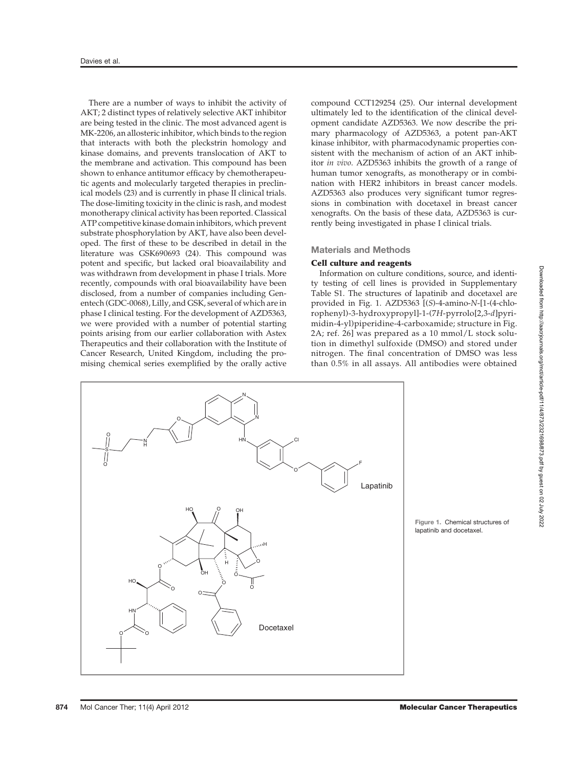There are a number of ways to inhibit the activity of AKT; 2 distinct types of relatively selective AKT inhibitor are being tested in the clinic. The most advanced agent is MK-2206, an allosteric inhibitor, which binds to the region that interacts with both the pleckstrin homology and kinase domains, and prevents translocation of AKT to the membrane and activation. This compound has been shown to enhance antitumor efficacy by chemotherapeutic agents and molecularly targeted therapies in preclinical models (23) and is currently in phase II clinical trials. The dose-limiting toxicity in the clinic is rash, and modest monotherapy clinical activity has been reported. Classical ATP competitive kinase domain inhibitors, which prevent substrate phosphorylation by AKT, have also been developed. The first of these to be described in detail in the literature was GSK690693 (24). This compound was potent and specific, but lacked oral bioavailability and was withdrawn from development in phase I trials. More recently, compounds with oral bioavailability have been disclosed, from a number of companies including Genentech (GDC-0068), Lilly, and GSK, several of which are in phase I clinical testing. For the development of AZD5363, we were provided with a number of potential starting points arising from our earlier collaboration with Astex Therapeutics and their collaboration with the Institute of Cancer Research, United Kingdom, including the promising chemical series exemplified by the orally active compound CCT129254 (25). Our internal development ultimately led to the identification of the clinical development candidate AZD5363. We now describe the primary pharmacology of AZD5363, a potent pan-AKT kinase inhibitor, with pharmacodynamic properties consistent with the mechanism of action of an AKT inhibitor in vivo. AZD5363 inhibits the growth of a range of human tumor xenografts, as monotherapy or in combination with HER2 inhibitors in breast cancer models. AZD5363 also produces very significant tumor regressions in combination with docetaxel in breast cancer xenografts. On the basis of these data, AZD5363 is currently being investigated in phase I clinical trials.

## Materials and Methods

## Cell culture and reagents

Information on culture conditions, source, and identity testing of cell lines is provided in Supplementary Table S1. The structures of lapatinib and docetaxel are provided in Fig. 1. AZD5363 [(S)-4-amino-N-[1-(4-chlorophenyl)-3-hydroxypropyl]-1-(7H-pyrrolo[2,3-d]pyrimidin-4-yl)piperidine-4-carboxamide; structure in Fig. 2A; ref. 26] was prepared as a 10 mmol/L stock solution in dimethyl sulfoxide (DMSO) and stored under nitrogen. The final concentration of DMSO was less than 0.5% in all assays. All antibodies were obtained



Figure 1. Chemical structures of lapatinib and docetaxel.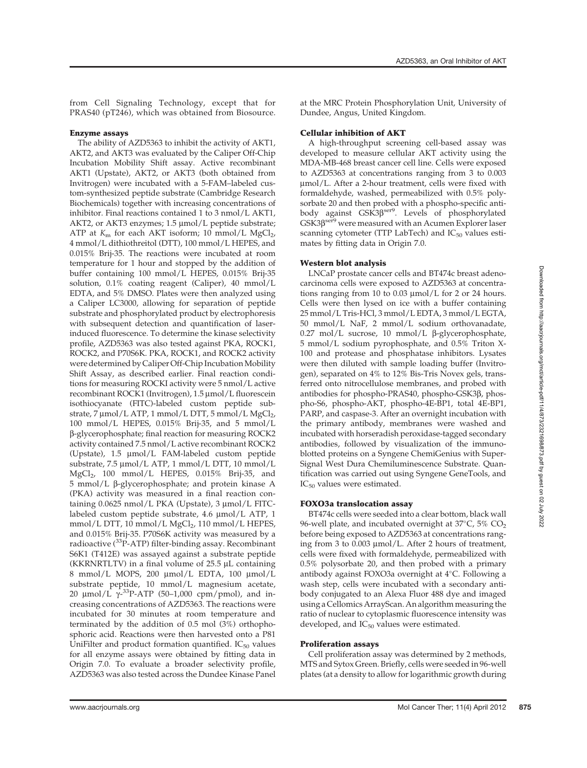from Cell Signaling Technology, except that for PRAS40 (pT246), which was obtained from Biosource.

## Enzyme assays

The ability of AZD5363 to inhibit the activity of AKT1, AKT2, and AKT3 was evaluated by the Caliper Off-Chip Incubation Mobility Shift assay. Active recombinant AKT1 (Upstate), AKT2, or AKT3 (both obtained from Invitrogen) were incubated with a 5-FAM–labeled custom-synthesized peptide substrate (Cambridge Research Biochemicals) together with increasing concentrations of inhibitor. Final reactions contained 1 to 3 nmol/L AKT1, AKT2, or AKT3 enzymes; 1.5 µmol/L peptide substrate; ATP at  $K<sub>m</sub>$  for each AKT isoform; 10 mmol/L MgCl<sub>2</sub>, 4 mmol/L dithiothreitol (DTT), 100 mmol/L HEPES, and 0.015% Brij-35. The reactions were incubated at room temperature for 1 hour and stopped by the addition of buffer containing 100 mmol/L HEPES, 0.015% Brij-35 solution, 0.1% coating reagent (Caliper), 40 mmol/L EDTA, and 5% DMSO. Plates were then analyzed using a Caliper LC3000, allowing for separation of peptide substrate and phosphorylated product by electrophoresis with subsequent detection and quantification of laserinduced fluorescence. To determine the kinase selectivity profile, AZD5363 was also tested against PKA, ROCK1, ROCK2, and P70S6K. PKA, ROCK1, and ROCK2 activity were determined by Caliper Off-Chip Incubation Mobility Shift Assay, as described earlier. Final reaction conditions for measuring ROCKI activity were 5 nmol/L active recombinant ROCK1 (Invitrogen), 1.5 µmol/L fluorescein isothiocyanate (FITC)-labeled custom peptide substrate, 7  $\mu$ mol/L ATP, 1 mmol/L DTT, 5 mmol/L MgCl<sub>2</sub>, 100 mmol/L HEPES, 0.015% Brij-35, and 5 mmol/L b-glycerophosphate; final reaction for measuring ROCK2 activity contained 7.5 nmol/L active recombinant ROCK2 (Upstate), 1.5 mmol/L FAM-labeled custom peptide substrate, 7.5 µmol/L ATP, 1 mmol/L DTT, 10 mmol/L MgCl2, 100 mmol/L HEPES, 0.015% Brij-35, and 5 mmol/L  $β$ -glycerophosphate; and protein kinase A (PKA) activity was measured in a final reaction containing 0.0625 nmol/L PKA (Upstate), 3 µmol/L FITClabeled custom peptide substrate, 4.6 µmol/L ATP, 1 mmol/L DTT, 10 mmol/L MgCl<sub>2</sub>, 110 mmol/L HEPES, and 0.015% Brij-35. P70S6K activity was measured by a radioactive  $(^{33}P-ATP)$  filter-binding assay. Recombinant S6K1 (T412E) was assayed against a substrate peptide (KKRNRTLTV) in a final volume of  $25.5 \mu L$  containing 8 mmol/L MOPS, 200 µmol/L EDTA, 100 µmol/L substrate peptide, 10 mmol/L magnesium acetate, 20  $\mu$ mol/L  $\gamma^{-33}P$ -ATP (50–1,000 cpm/pmol), and in-<br>creasing concentrations of AZD5363. The reactions were creasing concentrations of AZD5363. The reactions were incubated for 30 minutes at room temperature and terminated by the addition of 0.5 mol (3%) orthophosphoric acid. Reactions were then harvested onto a P81 UniFilter and product formation quantified.  $IC_{50}$  values for all enzyme assays were obtained by fitting data in Origin 7.0. To evaluate a broader selectivity profile, AZD5363 was also tested across the Dundee Kinase Panel

at the MRC Protein Phosphorylation Unit, University of Dundee, Angus, United Kingdom.

# Cellular inhibition of AKT

A high-throughput screening cell-based assay was developed to measure cellular AKT activity using the MDA-MB-468 breast cancer cell line. Cells were exposed to AZD5363 at concentrations ranging from 3 to 0.003 mmol/L. After a 2-hour treatment, cells were fixed with formaldehyde, washed, permeabilized with 0.5% polysorbate 20 and then probed with a phospho-specific antibody against GSK3 $\beta^{ser9}$ . Levels of phosphorylated  $GSK3\beta^{ser9}$  were measured with an Acumen Explorer laser scanning cytometer (TTP LabTech) and  $IC_{50}$  values estimates by fitting data in Origin 7.0.

# Western blot analysis

LNCaP prostate cancer cells and BT474c breast adenocarcinoma cells were exposed to AZD5363 at concentrations ranging from 10 to 0.03  $\mu$ mol/L for 2 or 24 hours. Cells were then lysed on ice with a buffer containing 25 mmol/L Tris-HCl, 3 mmol/L EDTA, 3 mmol/L EGTA, 50 mmol/L NaF, 2 mmol/L sodium orthovanadate, 0.27 mol/L sucrose, 10 mmol/L  $\beta$ -glycerophosphate, 5 mmol/L sodium pyrophosphate, and 0.5% Triton X-100 and protease and phosphatase inhibitors. Lysates were then diluted with sample loading buffer (Invitrogen), separated on 4% to 12% Bis-Tris Novex gels, transferred onto nitrocellulose membranes, and probed with antibodies for phospho-PRAS40, phospho-GSK3 $\beta$ , phospho-S6, phospho-AKT, phospho-4E-BP1, total 4E-BP1, PARP, and caspase-3. After an overnight incubation with the primary antibody, membranes were washed and incubated with horseradish peroxidase-tagged secondary antibodies, followed by visualization of the immunoblotted proteins on a Syngene ChemiGenius with Super-Signal West Dura Chemiluminescence Substrate. Quantification was carried out using Syngene GeneTools, and IC<sub>50</sub> values were estimated.

# FOXO3a translocation assay

BT474c cells were seeded into a clear bottom, black wall 96-well plate, and incubated overnight at  $37^{\circ}$ C,  $5\%$  CO<sub>2</sub> before being exposed to AZD5363 at concentrations ranging from 3 to  $0.003 \mu$ mol/L. After 2 hours of treatment, cells were fixed with formaldehyde, permeabilized with 0.5% polysorbate 20, and then probed with a primary antibody against FOXO3a overnight at 4°C. Following a wash step, cells were incubated with a secondary antibody conjugated to an Alexa Fluor 488 dye and imaged using a Cellomics ArrayScan. An algorithm measuring the ratio of nuclear to cytoplasmic fluorescence intensity was developed, and  $IC_{50}$  values were estimated.

# Proliferation assays

Cell proliferation assay was determined by 2 methods, MTS and Sytox Green. Briefly, cells were seeded in 96-well plates (at a density to allow for logarithmic growth during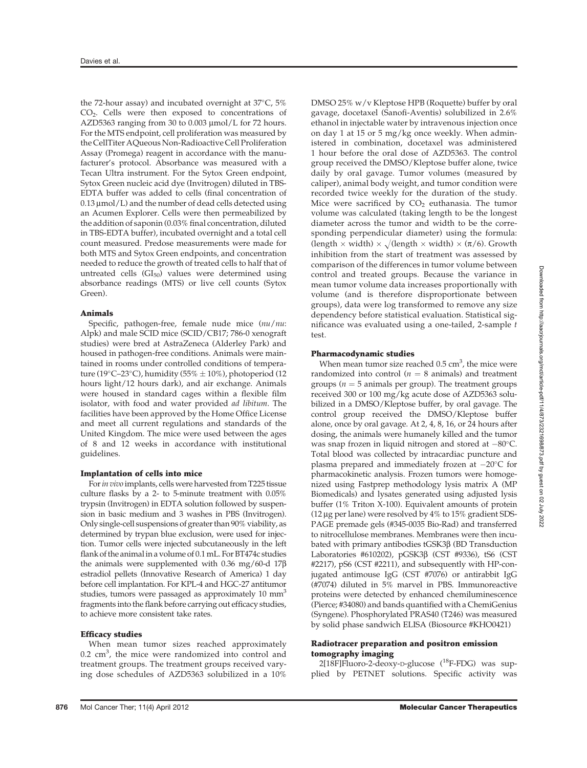the 72-hour assay) and incubated overnight at  $37^{\circ}$ C,  $5\%$ CO<sub>2</sub>. Cells were then exposed to concentrations of AZD5363 ranging from 30 to 0.003  $\mu$ mol/L for 72 hours. For the MTS endpoint, cell proliferation was measured by the CellTiter AQueous Non-Radioactive Cell Proliferation Assay (Promega) reagent in accordance with the manufacturer's protocol. Absorbance was measured with a Tecan Ultra instrument. For the Sytox Green endpoint, Sytox Green nucleic acid dye (Invitrogen) diluted in TBS-EDTA buffer was added to cells (final concentration of  $0.13 \mu$ mol/L) and the number of dead cells detected using an Acumen Explorer. Cells were then permeabilized by the addition of saponin (0.03% final concentration, diluted in TBS-EDTA buffer), incubated overnight and a total cell count measured. Predose measurements were made for both MTS and Sytox Green endpoints, and concentration needed to reduce the growth of treated cells to half that of untreated cells  $(GI_{50})$  values were determined using absorbance readings (MTS) or live cell counts (Sytox Green).

#### Animals

Specific, pathogen-free, female nude mice (nu/nu: Alpk) and male SCID mice (SCID/CB17; 786-0 xenograft studies) were bred at AstraZeneca (Alderley Park) and housed in pathogen-free conditions. Animals were maintained in rooms under controlled conditions of temperature (19 $\degree$ C–23 $\degree$ C), humidity (55%  $\pm$  10%), photoperiod (12 hours light/12 hours dark), and air exchange. Animals were housed in standard cages within a flexible film isolator, with food and water provided ad libitum. The facilities have been approved by the Home Office License and meet all current regulations and standards of the United Kingdom. The mice were used between the ages of 8 and 12 weeks in accordance with institutional guidelines.

## Implantation of cells into mice

For in vivo implants, cells were harvested from T225 tissue culture flasks by a 2- to 5-minute treatment with 0.05% trypsin (Invitrogen) in EDTA solution followed by suspension in basic medium and 3 washes in PBS (Invitrogen). Only single-cell suspensions of greater than 90% viability, as determined by trypan blue exclusion, were used for injection. Tumor cells were injected subcutaneously in the left flank of the animal in a volume of 0.1 mL. For BT474c studies the animals were supplemented with 0.36 mg/60-d  $17\beta$ estradiol pellets (Innovative Research of America) 1 day before cell implantation. For KPL-4 and HGC-27 antitumor studies, tumors were passaged as approximately 10 mm<sup>3</sup> fragments into the flank before carrying out efficacy studies, to achieve more consistent take rates.

#### Efficacy studies

When mean tumor sizes reached approximately  $0.2 \text{ cm}^3$ , the mice were randomized into control and treatment groups. The treatment groups received varying dose schedules of AZD5363 solubilized in a 10% DMSO 25% w/v Kleptose HPB (Roquette) buffer by oral gavage, docetaxel (Sanofi-Aventis) solubilized in 2.6% ethanol in injectable water by intravenous injection once on day 1 at 15 or 5 mg/kg once weekly. When administered in combination, docetaxel was administered 1 hour before the oral dose of AZD5363. The control group received the DMSO/Kleptose buffer alone, twice daily by oral gavage. Tumor volumes (measured by caliper), animal body weight, and tumor condition were recorded twice weekly for the duration of the study. Mice were sacrificed by  $CO<sub>2</sub>$  euthanasia. The tumor volume was calculated (taking length to be the longest diameter across the tumor and width to be the corresponding perpendicular diameter) using the formula: (length  $\times$  width)  $\times \sqrt{$ (length  $\times$  width)  $\times (\pi/6)$ . Growth inhibition from the start of treatment was assessed by comparison of the differences in tumor volume between control and treated groups. Because the variance in mean tumor volume data increases proportionally with volume (and is therefore disproportionate between groups), data were log transformed to remove any size dependency before statistical evaluation. Statistical significance was evaluated using a one-tailed, 2-sample t test.

#### Pharmacodynamic studies

When mean tumor size reached  $0.5 \text{ cm}^3$ , the mice were randomized into control ( $n = 8$  animals) and treatment groups ( $n = 5$  animals per group). The treatment groups received 300 or 100 mg/kg acute dose of AZD5363 solubilized in a DMSO/Kleptose buffer, by oral gavage. The control group received the DMSO/Kleptose buffer alone, once by oral gavage. At 2, 4, 8, 16, or 24 hours after dosing, the animals were humanely killed and the tumor was snap frozen in liquid nitrogen and stored at  $-80^{\circ}$ C. Total blood was collected by intracardiac puncture and plasma prepared and immediately frozen at  $-20^{\circ}$ C for pharmacokinetic analysis. Frozen tumors were homogenized using Fastprep methodology lysis matrix A (MP Biomedicals) and lysates generated using adjusted lysis buffer (1% Triton X-100). Equivalent amounts of protein (12  $\mu$ g per lane) were resolved by 4% to 15% gradient SDS-PAGE premade gels (#345-0035 Bio-Rad) and transferred to nitrocellulose membranes. Membranes were then incubated with primary antibodies tGSK3b (BD Transduction Laboratories #610202), pGSK3b (CST #9336), tS6 (CST #2217), pS6 (CST #2211), and subsequently with HP-conjugated antimouse IgG (CST #7076) or antirabbit IgG (#7074) diluted in 5% marvel in PBS. Immunoreactive proteins were detected by enhanced chemiluminescence (Pierce; #34080) and bands quantified with a ChemiGenius (Syngene). Phosphorylated PRAS40 (T246) was measured by solid phase sandwich ELISA (Biosource #KHO0421)

#### Radiotracer preparation and positron emission tomography imaging

2[18F]Fluoro-2-deoxy-D-glucose (18F-FDG) was supplied by PETNET solutions. Specific activity was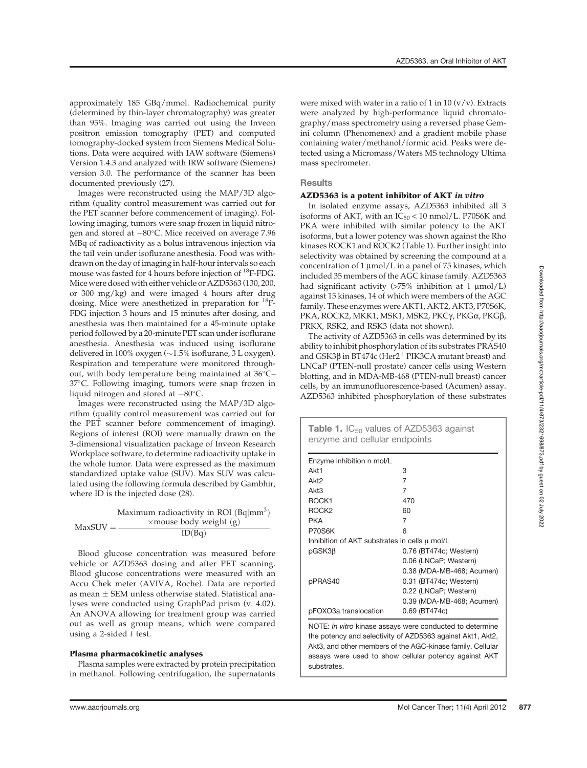approximately 185 GBq/mmol. Radiochemical purity (determined by thin-layer chromatography) was greater than 95%. Imaging was carried out using the Inveon positron emission tomography (PET) and computed tomography-docked system from Siemens Medical Solutions. Data were acquired with IAW software (Siemens) Version 1.4.3 and analyzed with IRW software (Siemens) version 3.0. The performance of the scanner has been documented previously (27).

Images were reconstructed using the MAP/3D algorithm (quality control measurement was carried out for the PET scanner before commencement of imaging). Following imaging, tumors were snap frozen in liquid nitrogen and stored at  $-80^{\circ}$ C. Mice received on average 7.96 MBq of radioactivity as a bolus intravenous injection via the tail vein under isoflurane anesthesia. Food was withdrawn on the day of imaging in half-hour intervals so each mouse was fasted for 4 hours before injection of 18F-FDG. Mice were dosed with either vehicle or AZD5363 (130, 200, or 300 mg/kg) and were imaged 4 hours after drug dosing. Mice were anesthetized in preparation for 18F-FDG injection 3 hours and 15 minutes after dosing, and anesthesia was then maintained for a 45-minute uptake period followed by a 20-minute PET scan under isoflurane anesthesia. Anesthesia was induced using isoflurane delivered in 100% oxygen ( $\sim$ 1.5% isoflurane, 3 L oxygen). Respiration and temperature were monitored throughout, with body temperature being maintained at 36°C-37°C. Following imaging, tumors were snap frozen in liquid nitrogen and stored at  $-80^{\circ}$ C.

Images were reconstructed using the MAP/3D algorithm (quality control measurement was carried out for the PET scanner before commencement of imaging). Regions of interest (ROI) were manually drawn on the 3-dimensional visualization package of Inveon Research Workplace software, to determine radioactivity uptake in the whole tumor. Data were expressed as the maximum standardized uptake value (SUV). Max SUV was calculated using the following formula described by Gambhir, where ID is the injected dose (28).

|            | Maximum radioactivity in ROI $(Bq mm^3)$ |
|------------|------------------------------------------|
| $MaxSUV =$ | $\times$ mouse body weight (g)           |
|            | ID(Bq)                                   |

Blood glucose concentration was measured before vehicle or AZD5363 dosing and after PET scanning. Blood glucose concentrations were measured with an Accu Chek meter (AVIVA, Roche). Data are reported as mean  $\pm$  SEM unless otherwise stated. Statistical analyses were conducted using GraphPad prism (v. 4.02). An ANOVA allowing for treatment group was carried out as well as group means, which were compared using a 2-sided  $t$  test.

## Plasma pharmacokinetic analyses

Plasma samples were extracted by protein precipitation in methanol. Following centrifugation, the supernatants were mixed with water in a ratio of 1 in 10  $(v/v)$ . Extracts were analyzed by high-performance liquid chromatography/mass spectrometry using a reversed phase Gemini column (Phenomenex) and a gradient mobile phase containing water/methanol/formic acid. Peaks were detected using a Micromass/Waters MS technology Ultima mass spectrometer.

# **Results**

## AZD5363 is a potent inhibitor of AKT in vitro

In isolated enzyme assays, AZD5363 inhibited all 3 isoforms of AKT, with an  $IC_{50}$  < 10 nmol/L. P70S6K and PKA were inhibited with similar potency to the AKT isoforms, but a lower potency was shown against the Rho kinases ROCK1 and ROCK2 (Table 1). Further insight into selectivity was obtained by screening the compound at a concentration of  $1 \mu \text{mol/L}$  in a panel of 75 kinases, which included 35 members of the AGC kinase family. AZD5363 had significant activity  $(>75\%$  inhibition at 1  $\mu$ mol/L) against 15 kinases, 14 of which were members of the AGC family. These enzymes were AKT1, AKT2, AKT3, P70S6K, PKA, ROCK2, MKK1, MSK1, MSK2, PKCγ, PKGα, PKGβ, PRKX, RSK2, and RSK3 (data not shown).

The activity of AZD5363 in cells was determined by its ability to inhibit phosphorylation of its substrates PRAS40 and GSK3 $\beta$  in BT474c (Her2<sup>+</sup> PIK3CA mutant breast) and LNCaP (PTEN-null prostate) cancer cells using Western blotting, and in MDA-MB-468 (PTEN-null breast) cancer cells, by an immunofluorescence-based (Acumen) assay. AZD5363 inhibited phosphorylation of these substrates

| <b>Table 1.</b> $IC_{50}$ values of AZD5363 against<br>enzyme and cellular endpoints |                           |  |  |
|--------------------------------------------------------------------------------------|---------------------------|--|--|
| Enzyme inhibition n mol/L                                                            |                           |  |  |
| Akt1                                                                                 | 3                         |  |  |
| Akt <sub>2</sub>                                                                     | 7                         |  |  |
| Akt3                                                                                 | 7                         |  |  |
| ROCK1                                                                                | 470                       |  |  |
| ROCK <sub>2</sub>                                                                    | 60                        |  |  |
| PKA                                                                                  | 7                         |  |  |
| P70S6K                                                                               | ี                         |  |  |
| Inhibition of AKT substrates in cells u mol/L                                        |                           |  |  |
| $pGSK3\beta$                                                                         | 0.76 (BT474c; Western)    |  |  |
|                                                                                      | 0.06 (LNCaP; Western)     |  |  |
|                                                                                      | 0.38 (MDA-MB-468; Acumen) |  |  |
| pPRAS40                                                                              | 0.31 (BT474c; Western)    |  |  |
|                                                                                      | 0.22 (LNCaP; Western)     |  |  |
|                                                                                      | 0.39 (MDA-MB-468; Acumen) |  |  |
| pFOXO3a translocation                                                                | 0.69 (BT474c)             |  |  |

NOTE: In vitro kinase assays were conducted to determine the potency and selectivity of AZD5363 against Akt1, Akt2, Akt3, and other members of the AGC-kinase family. Cellular assays were used to show cellular potency against AKT substrates.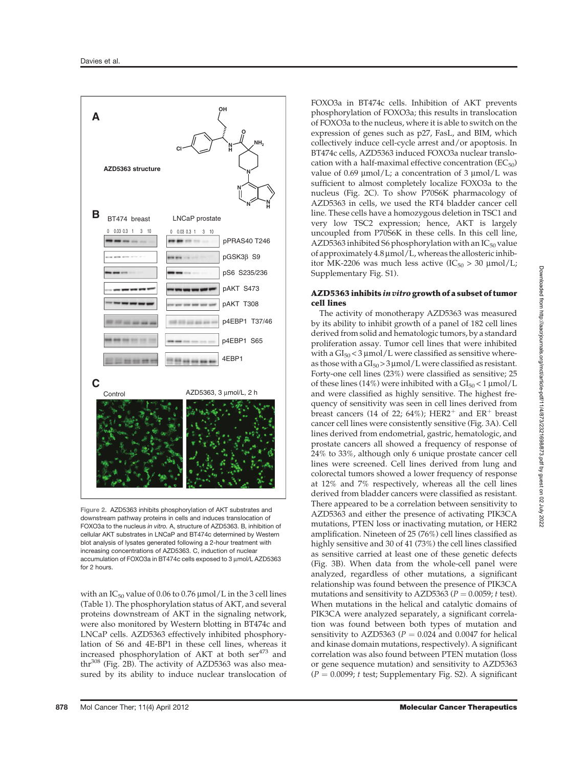

Figure 2. AZD5363 inhibits phosphorylation of AKT substrates and downstream pathway proteins in cells and induces translocation of FOXO3a to the nucleus in vitro. A, structure of AZD5363. B, inhibition of cellular AKT substrates in LNCaP and BT474c determined by Western blot analysis of lysates generated following a 2-hour treatment with increasing concentrations of AZD5363. C, induction of nuclear accumulation of FOXO3a in BT474c cells exposed to 3 µmol/L AZD5363 for 2 hours.

with an  $IC_{50}$  value of 0.06 to 0.76  $\mu$ mol/L in the 3 cell lines (Table 1). The phosphorylation status of AKT, and several proteins downstream of AKT in the signaling network, were also monitored by Western blotting in BT474c and LNCaP cells. AZD5363 effectively inhibited phosphorylation of S6 and 4E-BP1 in these cell lines, whereas it increased phosphorylation of AKT at both ser<sup>473</sup> and thr<sup>308</sup> (Fig. 2B). The activity of AZD5363 was also measured by its ability to induce nuclear translocation of FOXO3a in BT474c cells. Inhibition of AKT prevents phosphorylation of FOXO3a; this results in translocation of FOXO3a to the nucleus, where it is able to switch on the expression of genes such as p27, FasL, and BIM, which collectively induce cell-cycle arrest and/or apoptosis. In BT474c cells, AZD5363 induced FOXO3a nuclear translocation with a half-maximal effective concentration  $(EC_{50})$ value of 0.69  $\mu$ mol/L; a concentration of 3  $\mu$ mol/L was sufficient to almost completely localize FOXO3a to the nucleus (Fig. 2C). To show P70S6K pharmacology of AZD5363 in cells, we used the RT4 bladder cancer cell line. These cells have a homozygous deletion in TSC1 and very low TSC2 expression; hence, AKT is largely uncoupled from P70S6K in these cells. In this cell line, AZD5363 inhibited S6 phosphorylation with an  $IC_{50}$  value of approximately  $4.8 \mu$ mol/L, whereas the allosteric inhibitor MK-2206 was much less active  $(IC_{50} > 30 \text{ \mu} \text{mol/L})$ ; Supplementary Fig. S1).

## AZD5363 inhibits in vitro growth of a subset of tumor cell lines

The activity of monotherapy AZD5363 was measured by its ability to inhibit growth of a panel of 182 cell lines derived from solid and hematologic tumors, by a standard proliferation assay. Tumor cell lines that were inhibited with a  $GI_{50}$  < 3 µmol/L were classified as sensitive whereas those with a  $GI_{50} > 3 \mu$  mol/L were classified as resistant. Forty-one cell lines (23%) were classified as sensitive; 25 of these lines (14%) were inhibited with a  $GI<sub>50</sub> < 1 \mu$ mol/L and were classified as highly sensitive. The highest frequency of sensitivity was seen in cell lines derived from breast cancers (14 of 22; 64%); HER2<sup>+</sup> and ER<sup>+</sup> breast cancer cell lines were consistently sensitive (Fig. 3A). Cell lines derived from endometrial, gastric, hematologic, and prostate cancers all showed a frequency of response of 24% to 33%, although only 6 unique prostate cancer cell lines were screened. Cell lines derived from lung and colorectal tumors showed a lower frequency of response at 12% and 7% respectively, whereas all the cell lines derived from bladder cancers were classified as resistant. There appeared to be a correlation between sensitivity to AZD5363 and either the presence of activating PIK3CA mutations, PTEN loss or inactivating mutation, or HER2 amplification. Nineteen of 25 (76%) cell lines classified as highly sensitive and 30 of 41 (73%) the cell lines classified as sensitive carried at least one of these genetic defects (Fig. 3B). When data from the whole-cell panel were analyzed, regardless of other mutations, a significant relationship was found between the presence of PIK3CA mutations and sensitivity to AZD5363 ( $P = 0.0059$ ; t test). When mutations in the helical and catalytic domains of PIK3CA were analyzed separately, a significant correlation was found between both types of mutation and sensitivity to AZD5363 ( $P = 0.024$  and 0.0047 for helical and kinase domain mutations, respectively). A significant correlation was also found between PTEN mutation (loss or gene sequence mutation) and sensitivity to AZD5363  $(P = 0.0099; t \text{ test}$ ; Supplementary Fig. S2). A significant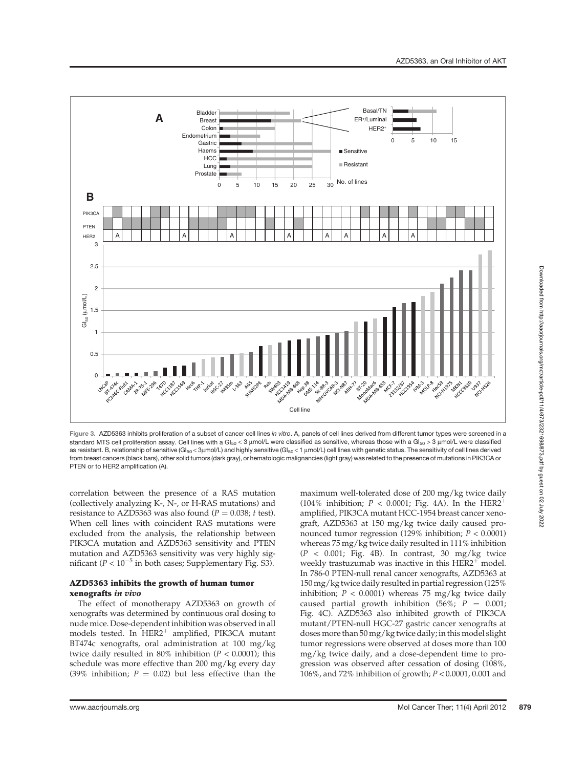

Figure 3. AZD5363 inhibits proliferation of a subset of cancer cell lines in vitro. A, panels of cell lines derived from different tumor types were screened in a standard MTS cell proliferation assay. Cell lines with a GI<sub>50</sub> < 3  $\mu$ mol/L were classified as sensitive, whereas those with a GI<sub>50</sub> > 3  $\mu$ mol/L were classified as resistant. B, relationship of sensitive (GI<sub>50</sub> < 3µmol/L) and highly sensitive (GI<sub>50</sub> < 1 µmol/L) cell lines with genetic status. The sensitivity of cell lines derived from breast cancers (black bars), other solid tumors (dark gray), or hematologic malignancies (light gray) was related to the presence of mutations in PIK3CA or PTEN or to HER2 amplification (A).

correlation between the presence of a RAS mutation (collectively analyzing K-, N-, or H-RAS mutations) and resistance to AZD5363 was also found ( $P = 0.038$ ; t test). When cell lines with coincident RAS mutations were excluded from the analysis, the relationship between PIK3CA mutation and AZD5363 sensitivity and PTEN mutation and AZD5363 sensitivity was very highly significant ( $P < 10^{-5}$  in both cases; Supplementary Fig. S3).

## AZD5363 inhibits the growth of human tumor xenografts in vivo

The effect of monotherapy AZD5363 on growth of xenografts was determined by continuous oral dosing to nude mice. Dose-dependent inhibition was observed in all models tested. In HER2<sup>+</sup> amplified, PIK3CA mutant BT474c xenografts, oral administration at 100 mg/kg twice daily resulted in 80% inhibition ( $P < 0.0001$ ); this schedule was more effective than 200 mg/kg every day (39% inhibition;  $P = 0.02$ ) but less effective than the maximum well-tolerated dose of 200 mg/kg twice daily (104% inhibition;  $P < 0.0001$ ; Fig. 4A). In the HER2<sup>+</sup> amplified, PIK3CA mutant HCC-1954 breast cancer xenograft, AZD5363 at 150 mg/kg twice daily caused pronounced tumor regression (129% inhibition;  $P < 0.0001$ ) whereas 75 mg/kg twice daily resulted in 111% inhibition  $(P < 0.001$ ; Fig. 4B). In contrast, 30 mg/kg twice weekly trastuzumab was inactive in this  $HER2<sup>+</sup>$  model. In 786-0 PTEN-null renal cancer xenografts, AZD5363 at 150 mg/kg twice daily resulted in partial regression (125% inhibition;  $P < 0.0001$ ) whereas 75 mg/kg twice daily caused partial growth inhibition (56%;  $P = 0.001$ ; Fig. 4C). AZD5363 also inhibited growth of PIK3CA mutant/PTEN-null HGC-27 gastric cancer xenografts at doses more than 50 mg/kg twice daily; in this model slight tumor regressions were observed at doses more than 100 mg/kg twice daily, and a dose-dependent time to progression was observed after cessation of dosing (108%, 106%, and 72% inhibition of growth; <sup>P</sup> < 0.0001, 0.001 and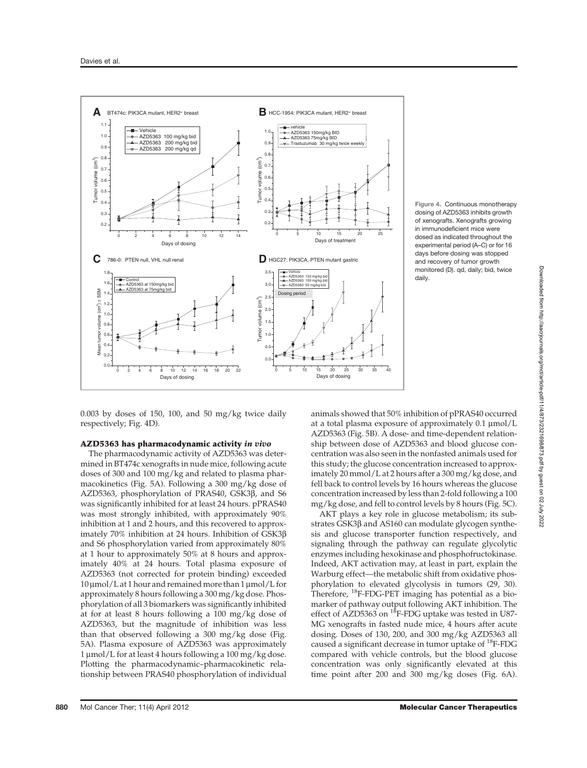

Figure 4. Continuous monotherapy dosing of AZD5363 inhibits growth of xenografts. Xenografts growing in immunodeficient mice were dosed as indicated throughout the experimental period (A–C) or for 16 days before dosing was stopped and recovery of tumor growth monitored (D). qd, daily; bid, twice daily.

0.003 by doses of 150, 100, and 50 mg/kg twice daily respectively; Fig. 4D).

# AZD5363 has pharmacodynamic activity in vivo

The pharmacodynamic activity of AZD5363 was determined in BT474c xenografts in nude mice, following acute doses of 300 and 100 mg/kg and related to plasma pharmacokinetics (Fig. 5A). Following a 300 mg/kg dose of AZD5363, phosphorylation of PRAS40, GSK3 $\beta$ , and S6 was significantly inhibited for at least 24 hours. pPRAS40 was most strongly inhibited, with approximately 90% inhibition at 1 and 2 hours, and this recovered to approximately 70% inhibition at 24 hours. Inhibition of GSK3b and S6 phosphorylation varied from approximately 80% at 1 hour to approximately 50% at 8 hours and approximately 40% at 24 hours. Total plasma exposure of AZD5363 (not corrected for protein binding) exceeded  $10 \mu$ mol/L at 1 hour and remained more than 1  $\mu$ mol/L for approximately 8 hours following a 300 mg/kg dose. Phosphorylation of all 3 biomarkers was significantly inhibited at for at least 8 hours following a 100 mg/kg dose of AZD5363, but the magnitude of inhibition was less than that observed following a 300 mg/kg dose (Fig. 5A). Plasma exposure of AZD5363 was approximately 1  $\mu$ mol/L for at least 4 hours following a 100 mg/kg dose. Plotting the pharmacodynamic–pharmacokinetic relationship between PRAS40 phosphorylation of individual

animals showed that 50% inhibition of pPRAS40 occurred at a total plasma exposure of approximately  $0.1 \mu$ mol/L AZD5363 (Fig. 5B). A dose- and time-dependent relationship between dose of AZD5363 and blood glucose concentration was also seen in the nonfasted animals used for this study; the glucose concentration increased to approximately 20 mmol/L at 2 hours after a 300 mg/kg dose, and fell back to control levels by 16 hours whereas the glucose concentration increased by less than 2-fold following a 100 mg/kg dose, and fell to control levels by 8 hours (Fig. 5C).

AKT plays a key role in glucose metabolism; its substrates GSK3β and AS160 can modulate glycogen synthesis and glucose transporter function respectively, and signaling through the pathway can regulate glycolytic enzymes including hexokinase and phosphofructokinase. Indeed, AKT activation may, at least in part, explain the Warburg effect—the metabolic shift from oxidative phosphorylation to elevated glycolysis in tumors (29, 30). Therefore, <sup>18</sup>F-FDG-PET imaging has potential as a biomarker of pathway output following AKT inhibition. The effect of AZD5363 on <sup>18</sup>F-FDG uptake was tested in U87-MG xenografts in fasted nude mice, 4 hours after acute dosing. Doses of 130, 200, and 300 mg/kg AZD5363 all caused a significant decrease in tumor uptake of <sup>18</sup>F-FDG compared with vehicle controls, but the blood glucose concentration was only significantly elevated at this time point after 200 and 300 mg/kg doses (Fig. 6A).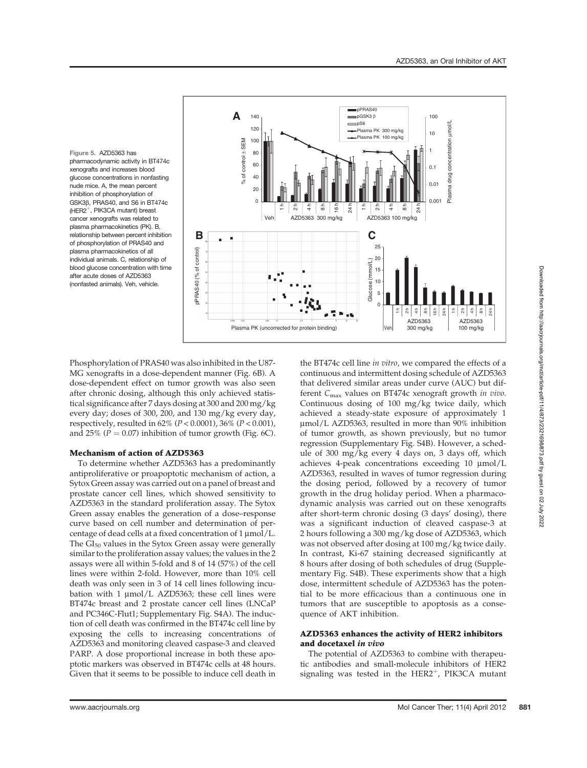Figure 5. AZD5363 has pharmacodynamic activity in BT474c xenografts and increases blood glucose concentrations in nonfasting nude mice. A, the mean percent inhibition of phosphorylation of GSK3b, PRAS40, and S6 in BT474c (HER2<sup>+</sup>, PIK3CA mutant) breast cancer xenografts was related to plasma pharmacokinetics (PK). B, relationship between percent inhibition of phosphorylation of PRAS40 and plasma pharmacokinetics of all individual animals. C, relationship of blood glucose concentration with time after acute doses of AZD5363 (nonfasted animals). Veh, vehicle.



Phosphorylation of PRAS40 was also inhibited in the U87- MG xenografts in a dose-dependent manner (Fig. 6B). A dose-dependent effect on tumor growth was also seen after chronic dosing, although this only achieved statistical significance after 7 days dosing at 300 and 200 mg/kg every day; doses of 300, 200, and 130 mg/kg every day, respectively, resulted in 62% (<sup>P</sup> < 0.0001), 36% (<sup>P</sup> < 0.001), and 25% ( $P = 0.07$ ) inhibition of tumor growth (Fig. 6C).

# Mechanism of action of AZD5363

To determine whether AZD5363 has a predominantly antiproliferative or proapoptotic mechanism of action, a Sytox Green assay was carried out on a panel of breast and prostate cancer cell lines, which showed sensitivity to AZD5363 in the standard proliferation assay. The Sytox Green assay enables the generation of a dose–response curve based on cell number and determination of percentage of dead cells at a fixed concentration of 1 µmol/L. The  $GI_{50}$  values in the Sytox Green assay were generally similar to the proliferation assay values; the values in the 2 assays were all within 5-fold and 8 of 14 (57%) of the cell lines were within 2-fold. However, more than 10% cell death was only seen in 3 of 14 cell lines following incubation with 1  $\mu$ mol/L AZD5363; these cell lines were BT474c breast and 2 prostate cancer cell lines (LNCaP and PC346C-Flut1; Supplementary Fig. S4A). The induction of cell death was confirmed in the BT474c cell line by exposing the cells to increasing concentrations of AZD5363 and monitoring cleaved caspase-3 and cleaved PARP. A dose proportional increase in both these apoptotic markers was observed in BT474c cells at 48 hours. Given that it seems to be possible to induce cell death in

the BT474c cell line in vitro, we compared the effects of a continuous and intermittent dosing schedule of AZD5363 that delivered similar areas under curve (AUC) but different  $C_{\text{max}}$  values on BT474c xenograft growth in vivo. Continuous dosing of 100 mg/kg twice daily, which achieved a steady-state exposure of approximately 1 mmol/L AZD5363, resulted in more than 90% inhibition of tumor growth, as shown previously, but no tumor regression (Supplementary Fig. S4B). However, a schedule of 300 mg/kg every 4 days on, 3 days off, which achieves 4-peak concentrations exceeding  $10 \, \mu \mathrm{mol/L}$ AZD5363, resulted in waves of tumor regression during the dosing period, followed by a recovery of tumor growth in the drug holiday period. When a pharmacodynamic analysis was carried out on these xenografts after short-term chronic dosing (3 days' dosing), there was a significant induction of cleaved caspase-3 at 2 hours following a 300 mg/kg dose of AZD5363, which was not observed after dosing at 100 mg/kg twice daily. In contrast, Ki-67 staining decreased significantly at 8 hours after dosing of both schedules of drug (Supplementary Fig. S4B). These experiments show that a high dose, intermittent schedule of AZD5363 has the potential to be more efficacious than a continuous one in tumors that are susceptible to apoptosis as a consequence of AKT inhibition.

# AZD5363 enhances the activity of HER2 inhibitors and docetaxel in vivo

The potential of AZD5363 to combine with therapeutic antibodies and small-molecule inhibitors of HER2 signaling was tested in the  $HER2^+$ , PIK3CA mutant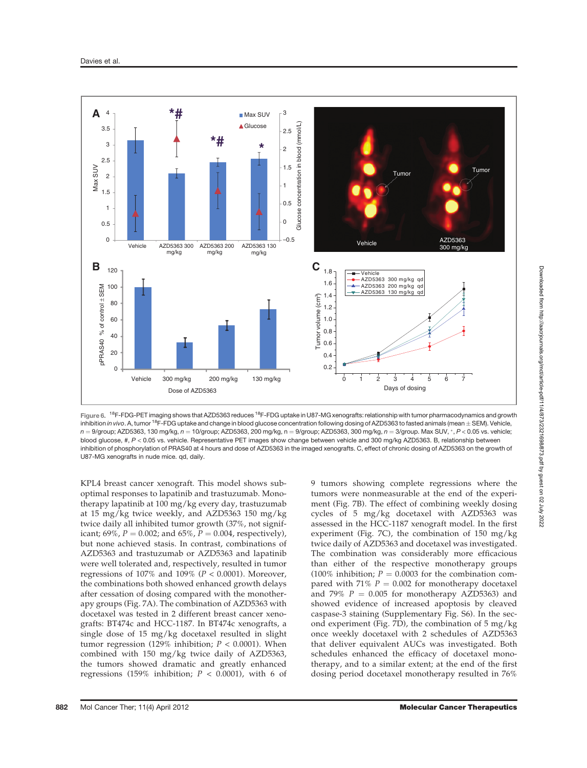

Figure 6. <sup>18</sup>F-FDG-PET imaging shows that AZD5363 reduces <sup>18</sup>F-FDG uptake in U87-MG xenografts: relationship with tumor pharmacodynamics and growth inhibition in vivo. A, tumor <sup>18</sup>F-FDG uptake and change in blood glucose concentration following dosing of AZD5363 to fasted animals (mean  $\pm$  SEM). Vehicle,  $n = 9$ /group; AZD5363, 130 mg/kg,  $n = 10$ /group; AZD5363, 200 mg/kg, n = 9/group; AZD5363, 300 mg/kg,  $n = 3$ /group. Max SUV, \*, P < 0.05 vs. vehicle; blood glucose, #, <sup>P</sup> < 0.05 vs. vehicle. Representative PET images show change between vehicle and 300 mg/kg AZD5363. B, relationship between inhibition of phosphorylation of PRAS40 at 4 hours and dose of AZD5363 in the imaged xenografts. C, effect of chronic dosing of AZD5363 on the growth of U87-MG xenografts in nude mice. qd, daily.

KPL4 breast cancer xenograft. This model shows suboptimal responses to lapatinib and trastuzumab. Monotherapy lapatinib at 100 mg/kg every day, trastuzumab at 15 mg/kg twice weekly, and AZD5363 150 mg/kg twice daily all inhibited tumor growth (37%, not significant; 69%,  $P = 0.002$ ; and 65%,  $P = 0.004$ , respectively), but none achieved stasis. In contrast, combinations of AZD5363 and trastuzumab or AZD5363 and lapatinib were well tolerated and, respectively, resulted in tumor regressions of  $107\%$  and  $109\%$  ( $P < 0.0001$ ). Moreover, the combinations both showed enhanced growth delays after cessation of dosing compared with the monotherapy groups (Fig. 7A). The combination of AZD5363 with docetaxel was tested in 2 different breast cancer xenografts: BT474c and HCC-1187. In BT474c xenografts, a single dose of 15 mg/kg docetaxel resulted in slight tumor regression (129% inhibition;  $P < 0.0001$ ). When combined with 150 mg/kg twice daily of AZD5363, the tumors showed dramatic and greatly enhanced regressions (159% inhibition;  $P < 0.0001$ ), with 6 of

9 tumors showing complete regressions where the tumors were nonmeasurable at the end of the experiment (Fig. 7B). The effect of combining weekly dosing cycles of 5 mg/kg docetaxel with AZD5363 was assessed in the HCC-1187 xenograft model. In the first experiment (Fig. 7C), the combination of 150 mg/kg twice daily of AZD5363 and docetaxel was investigated. The combination was considerably more efficacious than either of the respective monotherapy groups (100% inhibition;  $P = 0.0003$  for the combination compared with 71%  $P = 0.002$  for monotherapy docetaxel and 79%  $P = 0.005$  for monotherapy AZD5363) and showed evidence of increased apoptosis by cleaved caspase-3 staining (Supplementary Fig. S6). In the second experiment (Fig. 7D), the combination of 5 mg/kg once weekly docetaxel with 2 schedules of AZD5363 that deliver equivalent AUCs was investigated. Both schedules enhanced the efficacy of docetaxel monotherapy, and to a similar extent; at the end of the first dosing period docetaxel monotherapy resulted in 76%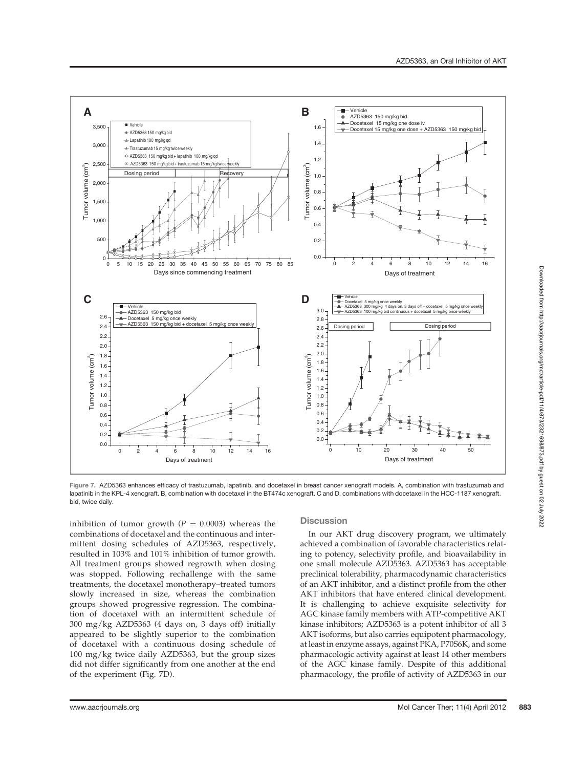

Figure 7. AZD5363 enhances efficacy of trastuzumab, lapatinib, and docetaxel in breast cancer xenograft models. A, combination with trastuzumab and lapatinib in the KPL-4 xenograft. B, combination with docetaxel in the BT474c xenograft. C and D, combinations with docetaxel in the HCC-1187 xenograft. bid, twice daily.

inhibition of tumor growth ( $P = 0.0003$ ) whereas the combinations of docetaxel and the continuous and intermittent dosing schedules of AZD5363, respectively, resulted in 103% and 101% inhibition of tumor growth. All treatment groups showed regrowth when dosing was stopped. Following rechallenge with the same treatments, the docetaxel monotherapy–treated tumors slowly increased in size, whereas the combination groups showed progressive regression. The combination of docetaxel with an intermittent schedule of 300 mg/kg AZD5363 (4 days on, 3 days off) initially appeared to be slightly superior to the combination of docetaxel with a continuous dosing schedule of 100 mg/kg twice daily AZD5363, but the group sizes did not differ significantly from one another at the end of the experiment (Fig. 7D).

## **Discussion**

In our AKT drug discovery program, we ultimately achieved a combination of favorable characteristics relating to potency, selectivity profile, and bioavailability in one small molecule AZD5363. AZD5363 has acceptable preclinical tolerability, pharmacodynamic characteristics of an AKT inhibitor, and a distinct profile from the other AKT inhibitors that have entered clinical development. It is challenging to achieve exquisite selectivity for AGC kinase family members with ATP-competitive AKT kinase inhibitors; AZD5363 is a potent inhibitor of all 3 AKT isoforms, but also carries equipotent pharmacology, at least in enzyme assays, against PKA, P70S6K, and some pharmacologic activity against at least 14 other members of the AGC kinase family. Despite of this additional pharmacology, the profile of activity of AZD5363 in our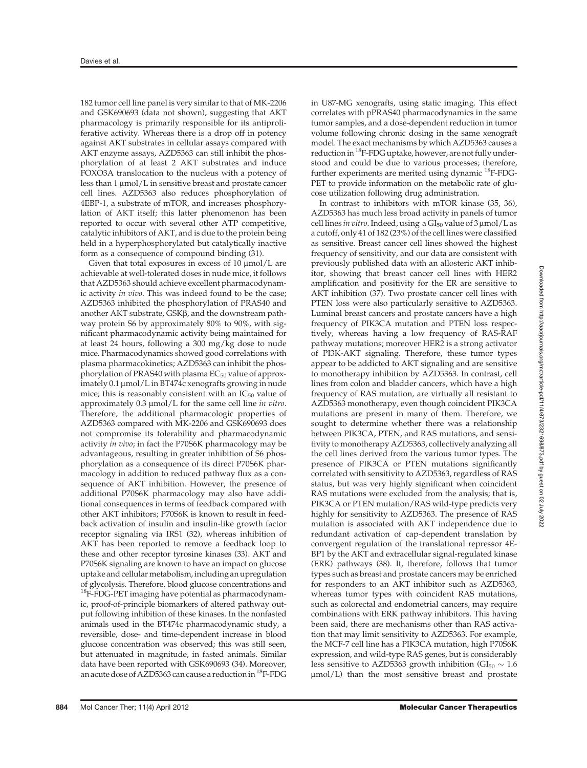182 tumor cell line panel is very similar to that of MK-2206 and GSK690693 (data not shown), suggesting that AKT pharmacology is primarily responsible for its antiproliferative activity. Whereas there is a drop off in potency against AKT substrates in cellular assays compared with AKT enzyme assays, AZD5363 can still inhibit the phosphorylation of at least 2 AKT substrates and induce FOXO3A translocation to the nucleus with a potency of less than  $1 \mu \text{mol}/L$  in sensitive breast and prostate cancer cell lines. AZD5363 also reduces phosphorylation of 4EBP-1, a substrate of mTOR, and increases phosphorylation of AKT itself; this latter phenomenon has been reported to occur with several other ATP competitive, catalytic inhibitors of AKT, and is due to the protein being held in a hyperphosphorylated but catalytically inactive form as a consequence of compound binding (31).

Given that total exposures in excess of  $10 \mu \text{mol/L}$  are achievable at well-tolerated doses in nude mice, it follows that AZD5363 should achieve excellent pharmacodynamic activity in vivo. This was indeed found to be the case; AZD5363 inhibited the phosphorylation of PRAS40 and another AKT substrate,  $GSK\beta$ , and the downstream pathway protein S6 by approximately 80% to 90%, with significant pharmacodynamic activity being maintained for at least 24 hours, following a 300 mg/kg dose to nude mice. Pharmacodynamics showed good correlations with plasma pharmacokinetics; AZD5363 can inhibit the phosphorylation of PRAS40 with plasma EC<sub>50</sub> value of approximately  $0.1 \mu$ mol/L in BT474c xenografts growing in nude mice; this is reasonably consistent with an  $IC_{50}$  value of approximately  $0.3 \mu$ mol/L for the same cell line in vitro. Therefore, the additional pharmacologic properties of AZD5363 compared with MK-2206 and GSK690693 does not compromise its tolerability and pharmacodynamic activity in vivo; in fact the P70S6K pharmacology may be advantageous, resulting in greater inhibition of S6 phosphorylation as a consequence of its direct P70S6K pharmacology in addition to reduced pathway flux as a consequence of AKT inhibition. However, the presence of additional P70S6K pharmacology may also have additional consequences in terms of feedback compared with other AKT inhibitors; P70S6K is known to result in feedback activation of insulin and insulin-like growth factor receptor signaling via IRS1 (32), whereas inhibition of AKT has been reported to remove a feedback loop to these and other receptor tyrosine kinases (33). AKT and P70S6K signaling are known to have an impact on glucose uptake and cellular metabolism, including an upregulation of glycolysis. Therefore, blood glucose concentrations and <sup>18</sup>F-FDG-PET imaging have potential as pharmacodynamic, proof-of-principle biomarkers of altered pathway output following inhibition of these kinases. In the nonfasted animals used in the BT474c pharmacodynamic study, a reversible, dose- and time-dependent increase in blood glucose concentration was observed; this was still seen, but attenuated in magnitude, in fasted animals. Similar data have been reported with GSK690693 (34). Moreover, an acute dose of AZD5363 can cause a reduction in <sup>18</sup>F-FDG in U87-MG xenografts, using static imaging. This effect correlates with pPRAS40 pharmacodynamics in the same tumor samples, and a dose-dependent reduction in tumor volume following chronic dosing in the same xenograft model. The exact mechanisms by which AZD5363 causes a reduction in  $^{18}$ F-FDG uptake, however, are not fully understood and could be due to various processes; therefore, further experiments are merited using dynamic 18F-FDG-PET to provide information on the metabolic rate of glucose utilization following drug administration.

In contrast to inhibitors with mTOR kinase (35, 36), AZD5363 has much less broad activity in panels of tumor cell lines in vitro. Indeed, using a  $GI_{50}$  value of  $3 \mu$ mol/L as a cutoff, only 41 of 182 (23%) of the cell lines were classified as sensitive. Breast cancer cell lines showed the highest frequency of sensitivity, and our data are consistent with previously published data with an allosteric AKT inhibitor, showing that breast cancer cell lines with HER2 amplification and positivity for the ER are sensitive to AKT inhibition (37). Two prostate cancer cell lines with PTEN loss were also particularly sensitive to AZD5363. Luminal breast cancers and prostate cancers have a high frequency of PIK3CA mutation and PTEN loss respectively, whereas having a low frequency of RAS-RAF pathway mutations; moreover HER2 is a strong activator of PI3K-AKT signaling. Therefore, these tumor types appear to be addicted to AKT signaling and are sensitive to monotherapy inhibition by AZD5363. In contrast, cell lines from colon and bladder cancers, which have a high frequency of RAS mutation, are virtually all resistant to AZD5363 monotherapy, even though coincident PIK3CA mutations are present in many of them. Therefore, we sought to determine whether there was a relationship between PIK3CA, PTEN, and RAS mutations, and sensitivity to monotherapy AZD5363, collectively analyzing all the cell lines derived from the various tumor types. The presence of PIK3CA or PTEN mutations significantly correlated with sensitivity to AZD5363, regardless of RAS status, but was very highly significant when coincident RAS mutations were excluded from the analysis; that is, PIK3CA or PTEN mutation/RAS wild-type predicts very highly for sensitivity to AZD5363. The presence of RAS mutation is associated with AKT independence due to redundant activation of cap-dependent translation by convergent regulation of the translational repressor 4E-BP1 by the AKT and extracellular signal-regulated kinase (ERK) pathways (38). It, therefore, follows that tumor types such as breast and prostate cancers may be enriched for responders to an AKT inhibitor such as AZD5363, whereas tumor types with coincident RAS mutations, such as colorectal and endometrial cancers, may require combinations with ERK pathway inhibitors. This having been said, there are mechanisms other than RAS activation that may limit sensitivity to AZD5363. For example, the MCF-7 cell line has a PIK3CA mutation, high P70S6K expression, and wild-type RAS genes, but is considerably less sensitive to AZD5363 growth inhibition ( $GI_{50} \sim 1.6$ ) mmol/L) than the most sensitive breast and prostate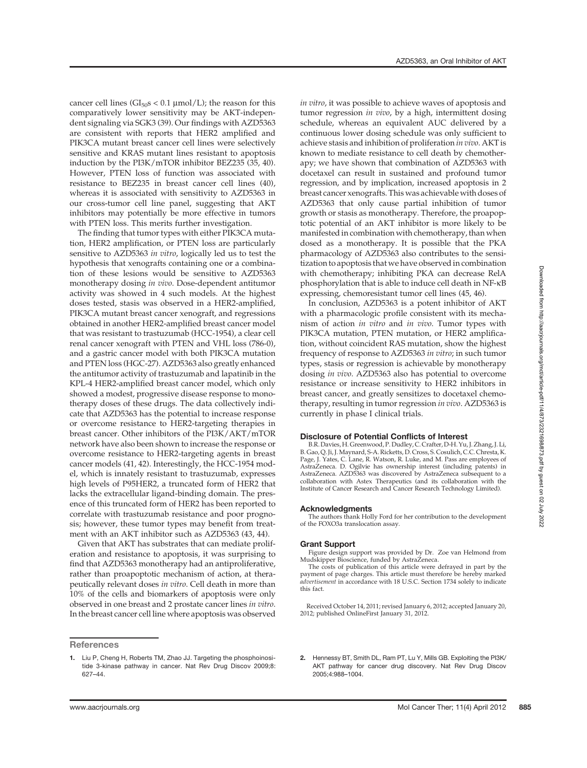cancer cell lines ( $GI<sub>50</sub>s < 0.1 \mu \text{mol/L}$ ); the reason for this comparatively lower sensitivity may be AKT-independent signaling via SGK3 (39). Our findings with AZD5363 are consistent with reports that HER2 amplified and PIK3CA mutant breast cancer cell lines were selectively sensitive and KRAS mutant lines resistant to apoptosis induction by the PI3K/mTOR inhibitor BEZ235 (35, 40). However, PTEN loss of function was associated with resistance to BEZ235 in breast cancer cell lines (40), whereas it is associated with sensitivity to AZD5363 in our cross-tumor cell line panel, suggesting that AKT inhibitors may potentially be more effective in tumors with PTEN loss. This merits further investigation.

The finding that tumor types with either PIK3CA mutation, HER2 amplification, or PTEN loss are particularly sensitive to AZD5363 in vitro, logically led us to test the hypothesis that xenografts containing one or a combination of these lesions would be sensitive to AZD5363 monotherapy dosing in vivo. Dose-dependent antitumor activity was showed in 4 such models. At the highest doses tested, stasis was observed in a HER2-amplified, PIK3CA mutant breast cancer xenograft, and regressions obtained in another HER2-amplified breast cancer model that was resistant to trastuzumab (HCC-1954), a clear cell renal cancer xenograft with PTEN and VHL loss (786-0), and a gastric cancer model with both PIK3CA mutation and PTEN loss (HGC-27). AZD5363 also greatly enhanced the antitumor activity of trastuzumab and lapatinib in the KPL-4 HER2-amplified breast cancer model, which only showed a modest, progressive disease response to monotherapy doses of these drugs. The data collectively indicate that AZD5363 has the potential to increase response or overcome resistance to HER2-targeting therapies in breast cancer. Other inhibitors of the PI3K/AKT/mTOR network have also been shown to increase the response or overcome resistance to HER2-targeting agents in breast cancer models (41, 42). Interestingly, the HCC-1954 model, which is innately resistant to trastuzumab, expresses high levels of P95HER2, a truncated form of HER2 that lacks the extracellular ligand-binding domain. The presence of this truncated form of HER2 has been reported to correlate with trastuzumab resistance and poor prognosis; however, these tumor types may benefit from treatment with an AKT inhibitor such as AZD5363 (43, 44).

Given that AKT has substrates that can mediate proliferation and resistance to apoptosis, it was surprising to find that AZD5363 monotherapy had an antiproliferative, rather than proapoptotic mechanism of action, at therapeutically relevant doses in vitro. Cell death in more than 10% of the cells and biomarkers of apoptosis were only observed in one breast and 2 prostate cancer lines in vitro. In the breast cancer cell line where apoptosis was observed

### **References**

in vitro, it was possible to achieve waves of apoptosis and tumor regression in vivo, by a high, intermittent dosing schedule, whereas an equivalent AUC delivered by a continuous lower dosing schedule was only sufficient to achieve stasis and inhibition of proliferation in vivo. AKT is known to mediate resistance to cell death by chemotherapy; we have shown that combination of AZD5363 with docetaxel can result in sustained and profound tumor regression, and by implication, increased apoptosis in 2 breast cancer xenografts. This was achievable with doses of AZD5363 that only cause partial inhibition of tumor growth or stasis as monotherapy. Therefore, the proapoptotic potential of an AKT inhibitor is more likely to be manifested in combination with chemotherapy, than when dosed as a monotherapy. It is possible that the PKA pharmacology of AZD5363 also contributes to the sensitization to apoptosis that we have observed in combination with chemotherapy; inhibiting PKA can decrease RelA phosphorylation that is able to induce cell death in NF-k<sup>B</sup> expressing, chemoresistant tumor cell lines (45, 46).

In conclusion, AZD5363 is a potent inhibitor of AKT with a pharmacologic profile consistent with its mechanism of action in vitro and in vivo. Tumor types with PIK3CA mutation, PTEN mutation, or HER2 amplification, without coincident RAS mutation, show the highest frequency of response to AZD5363 in vitro; in such tumor types, stasis or regression is achievable by monotherapy dosing in vivo. AZD5363 also has potential to overcome resistance or increase sensitivity to HER2 inhibitors in breast cancer, and greatly sensitizes to docetaxel chemotherapy, resulting in tumor regression in vivo. AZD5363 is currently in phase I clinical trials.

#### Disclosure of Potential Conflicts of Interest

B.R. Davies,H. Greenwood, P. Dudley, C. Crafter, D-H. Yu, J. Zhang, J. Li, B. Gao, Q. Ji, J.Maynard, S-A. Ricketts, D. Cross, S. Cosulich, C.C. Chresta, K. Page, J. Yates, C. Lane, R. Watson, R. Luke, and M. Pass are employees of AstraZeneca. D. Ogilvie has ownership interest (including patents) in AstraZeneca. AZD5363 was discovered by AstraZeneca subsequent to a collaboration with Astex Therapeutics (and its collaboration with the Institute of Cancer Research and Cancer Research Technology Limited).

#### Acknowledgments

The authors thank Holly Ford for her contribution to the development of the FOXO3a translocation assay.

#### Grant Support

Figure design support was provided by Dr. Zoe van Helmond from Mudskipper Bioscience, funded by AstraZeneca.

The costs of publication of this article were defrayed in part by the payment of page charges. This article must therefore be hereby marked advertisement in accordance with 18 U.S.C. Section 1734 solely to indicate this fact.

Received October 14, 2011; revised January 6, 2012; accepted January 20, 2012; published OnlineFirst January 31, 2012.

2. Hennessy BT, Smith DL, Ram PT, Lu Y, Mills GB. Exploiting the PI3K/ AKT pathway for cancer drug discovery. Nat Rev Drug Discov 2005;4:988–1004.

Downloaded from http://aacrjournals.org/mct/article-pdf/11/4/873/221698/873.pdf by guest on 02 July 2022 Downloaded from http://aacrjournals.org/mct/article-pdf/11/4/873/2321698/873.pdf by guest on 02 July 2022

<sup>1.</sup> Liu P, Cheng H, Roberts TM, Zhao JJ. Targeting the phosphoinositide 3-kinase pathway in cancer. Nat Rev Drug Discov 2009;8: 627–44.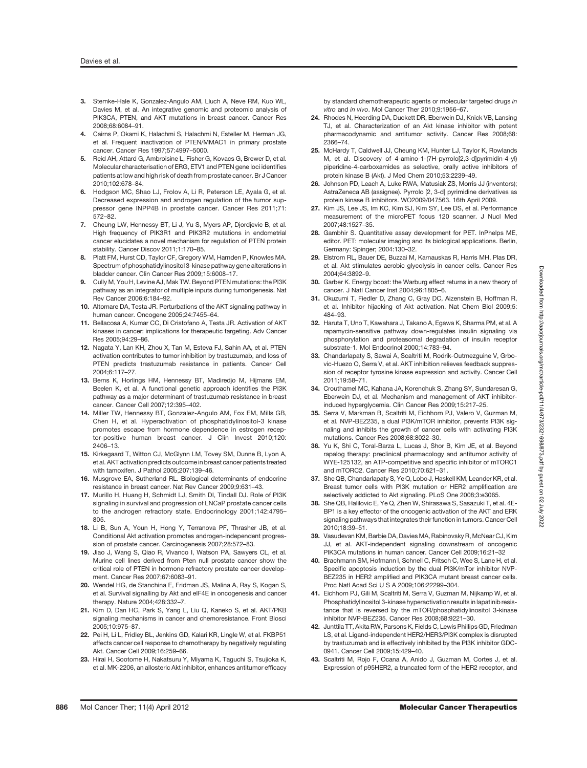- 3. Stemke-Hale K, Gonzalez-Angulo AM, Lluch A, Neve RM, Kuo WL, Davies M, et al. An integrative genomic and proteomic analysis of PIK3CA, PTEN, and AKT mutations in breast cancer. Cancer Res 2008;68:6084–91.
- 4. Cairns P, Okami K, Halachmi S, Halachmi N, Esteller M, Herman JG, et al. Frequent inactivation of PTEN/MMAC1 in primary prostate cancer. Cancer Res 1997;57:4997–5000.
- 5. Reid AH, Attard G, Ambroisine L, Fisher G, Kovacs G, Brewer D, et al. Molecular characterisation of ERG, ETV1 and PTEN gene loci identifies patients at low and high risk of death from prostate cancer. Br J Cancer 2010;102:678–84.
- 6. Hodgson MC, Shao LJ, Frolov A, Li R, Peterson LE, Ayala G, et al. Decreased expression and androgen regulation of the tumor suppressor gene INPP4B in prostate cancer. Cancer Res 2011;71: 572–82.
- 7. Cheung LW, Hennessy BT, Li J, Yu S, Myers AP, Djordjevic B, et al. High frequency of PIK3R1 and PIK3R2 mutations in endometrial cancer elucidates a novel mechanism for regulation of PTEN protein stability. Cancer Discov 2011;1:170–85.
- 8. Platt FM, Hurst CD, Taylor CF, Gregory WM, Harnden P, Knowles MA. Spectrum of phosphatidylinositol 3-kinase pathway gene alterations in bladder cancer. Clin Cancer Res 2009;15:6008–17.
- 9. Cully M, You H, Levine AJ, Mak TW. Beyond PTEN mutations: the PI3K pathway as an integrator of multiple inputs during tumorigenesis. Nat Rev Cancer 2006;6:184–92.
- 10. Altomare DA, Testa JR. Perturbations of the AKT signaling pathway in human cancer. Oncogene 2005;24:7455–64.
- 11. Bellacosa A, Kumar CC, Di Cristofano A, Testa JR. Activation of AKT kinases in cancer: implications for therapeutic targeting. Adv Cancer Res 2005;94:29–86.
- 12. Nagata Y, Lan KH, Zhou X, Tan M, Esteva FJ, Sahin AA, et al. PTEN activation contributes to tumor inhibition by trastuzumab, and loss of PTEN predicts trastuzumab resistance in patients. Cancer Cell 2004;6:117–27.
- 13. Berns K, Horlings HM, Hennessy BT, Madiredjo M, Hijmans EM, Beelen K, et al. A functional genetic approach identifies the PI3K pathway as a major determinant of trastuzumab resistance in breast cancer. Cancer Cell 2007;12:395–402.
- 14. Miller TW, Hennessy BT, Gonzalez-Angulo AM, Fox EM, Mills GB, Chen H, et al. Hyperactivation of phosphatidylinositol-3 kinase promotes escape from hormone dependence in estrogen receptor-positive human breast cancer. J Clin Invest 2010;120: 2406–13.
- 15. Kirkegaard T, Witton CJ, McGlynn LM, Tovey SM, Dunne B, Lyon A, et al. AKT activation predicts outcome in breast cancer patients treated with tamoxifen. J Pathol 2005;207:139–46.
- 16. Musgrove EA, Sutherland RL. Biological determinants of endocrine resistance in breast cancer. Nat Rev Cancer 2009;9:631–43.
- 17. Murillo H, Huang H, Schmidt LJ, Smith DI, Tindall DJ. Role of PI3K signaling in survival and progression of LNCaP prostate cancer cells to the androgen refractory state. Endocrinology 2001;142:4795– 805.
- 18. Li B, Sun A, Youn H, Hong Y, Terranova PF, Thrasher JB, et al. Conditional Akt activation promotes androgen-independent progression of prostate cancer. Carcinogenesis 2007;28:572–83.
- 19. Jiao J, Wang S, Qiao R, Vivanco I, Watson PA, Sawyers CL, et al. Murine cell lines derived from Pten null prostate cancer show the critical role of PTEN in hormone refractory prostate cancer development. Cancer Res 2007;67:6083–91.
- 20. Wendel HG, de Stanchina E, Fridman JS, Malina A, Ray S, Kogan S, et al. Survival signalling by Akt and eIF4E in oncogenesis and cancer therapy. Nature 2004;428:332–7.
- 21. Kim D, Dan HC, Park S, Yang L, Liu Q, Kaneko S, et al. AKT/PKB signaling mechanisms in cancer and chemoresistance. Front Biosci 2005;10:975–87.
- 22. Pei H, Li L, Fridley BL, Jenkins GD, Kalari KR, Lingle W, et al. FKBP51 affects cancer cell response to chemotherapy by negatively regulating Akt. Cancer Cell 2009;16:259–66.
- 23. Hirai H, Sootome H, Nakatsuru Y, Miyama K, Taguchi S, Tsujioka K, et al. MK-2206, an allosteric Akt inhibitor, enhances antitumor efficacy

by standard chemotherapeutic agents or molecular targeted drugs in vitro and in vivo. Mol Cancer Ther 2010;9:1956–67.

- 24. Rhodes N, Heerding DA, Duckett DR, Eberwein DJ, Knick VB, Lansing TJ, et al. Characterization of an Akt kinase inhibitor with potent pharmacodynamic and antitumor activity. Cancer Res 2008;68: 2366–74.
- 25. McHardy T, Caldwell JJ, Cheung KM, Hunter LJ, Taylor K, Rowlands M, et al. Discovery of 4-amino-1-(7H-pyrrolo[2,3-d]pyrimidin-4-yl) piperidine-4-carboxamides as selective, orally active inhibitors of protein kinase B (Akt). J Med Chem 2010;53:2239–49.
- 26. Johnson PD, Leach A, Luke RWA, Matusiak ZS, Morris JJ (inventors); AstraZeneca AB (assignee). Pyrrolo [2, 3-d] pyrimidine derivatives as protein kinase B inhibitors. WO2009/047563. 16th April 2009.
- 27. Kim JS, Lee JS, Im KC, Kim SJ, Kim SY, Lee DS, et al. Performance measurement of the microPET focus 120 scanner. J Nucl Med 2007;48:1527–35.
- 28. Gambhir S. Quantitative assay development for PET. InPhelps ME, editor. PET: molecular imaging and its biological applications. Berlin, Germany: Spinger; 2004:130–32.
- 29. Elstrom RL, Bauer DE, Buzzai M, Karnauskas R, Harris MH, Plas DR, et al. Akt stimulates aerobic glycolysis in cancer cells. Cancer Res 2004;64:3892–9.
- 30. Garber K. Energy boost: the Warburg effect returns in a new theory of cancer. J Natl Cancer Inst 2004;96:1805–6.
- 31. Okuzumi T, Fiedler D, Zhang C, Gray DC, Aizenstein B, Hoffman R, et al. Inhibitor hijacking of Akt activation. Nat Chem Biol 2009;5: 484–93.
- 32. Haruta T, Uno T, Kawahara J, Takano A, Egawa K, Sharma PM, et al. A rapamycin-sensitive pathway down-regulates insulin signaling via phosphorylation and proteasomal degradation of insulin receptor substrate-1. Mol Endocrinol 2000;14:783–94.
- 33. Chandarlapaty S, Sawai A, Scaltriti M, Rodrik-Outmezguine V, Grbovic-Huezo O, Serra V, et al. AKT inhibition relieves feedback suppression of receptor tyrosine kinase expression and activity. Cancer Cell 2011;19:58–71.
- 34. Crouthamel MC, Kahana JA, Korenchuk S, Zhang SY, Sundaresan G, Eberwein DJ, et al. Mechanism and management of AKT inhibitorinduced hyperglycemia. Clin Cancer Res 2009;15:217–25.
- 35. Serra V, Markman B, Scaltriti M, Eichhorn PJ, Valero V, Guzman M, et al. NVP-BEZ235, a dual PI3K/mTOR inhibitor, prevents PI3K signaling and inhibits the growth of cancer cells with activating PI3K mutations. Cancer Res 2008;68:8022–30.
- 36. Yu K, Shi C, Toral-Barza L, Lucas J, Shor B, Kim JE, et al. Beyond rapalog therapy: preclinical pharmacology and antitumor activity of WYE-125132, an ATP-competitive and specific inhibitor of mTORC1 and mTORC2. Cancer Res 2010;70:621–31.
- 37. She QB, Chandarlapaty S, Ye Q, Lobo J, Haskell KM, Leander KR, et al. Breast tumor cells with PI3K mutation or HER2 amplification are selectively addicted to Akt signaling. PLoS One 2008;3:e3065.
- 38. She QB, Halilovic E, Ye Q, Zhen W, Shirasawa S, Sasazuki T, et al. 4E-BP1 is a key effector of the oncogenic activation of the AKT and ERK signaling pathways that integrates their function in tumors. Cancer Cell 2010;18:39–51.
- 39. Vasudevan KM, Barbie DA, Davies MA, Rabinovsky R, McNear CJ, Kim JJ, et al. AKT-independent signaling downstream of oncogenic PIK3CA mutations in human cancer. Cancer Cell 2009;16:21–32
- 40. Brachmann SM, Hofmann I, Schnell C, Fritsch C, Wee S, Lane H, et al. Specific apoptosis induction by the dual PI3K/mTor inhibitor NVP-BEZ235 in HER2 amplified and PIK3CA mutant breast cancer cells. Proc Natl Acad Sci U S A 2009;106:22299–304.
- 41. Eichhorn PJ, Gili M, Scaltriti M, Serra V, Guzman M, Nijkamp W, et al. Phosphatidylinositol 3-kinase hyperactivation results in lapatinib resistance that is reversed by the mTOR/phosphatidylinositol 3-kinase inhibitor NVP-BEZ235. Cancer Res 2008;68:9221–30.
- 42. Junttila TT, Akita RW, Parsons K, Fields C, Lewis Phillips GD, Friedman LS, et al. Ligand-independent HER2/HER3/PI3K complex is disrupted by trastuzumab and is effectively inhibited by the PI3K inhibitor GDC-0941. Cancer Cell 2009;15:429–40.
- 43. Scaltriti M, Rojo F, Ocana A, Anido J, Guzman M, Cortes J, et al. Expression of p95HER2, a truncated form of the HER2 receptor, and